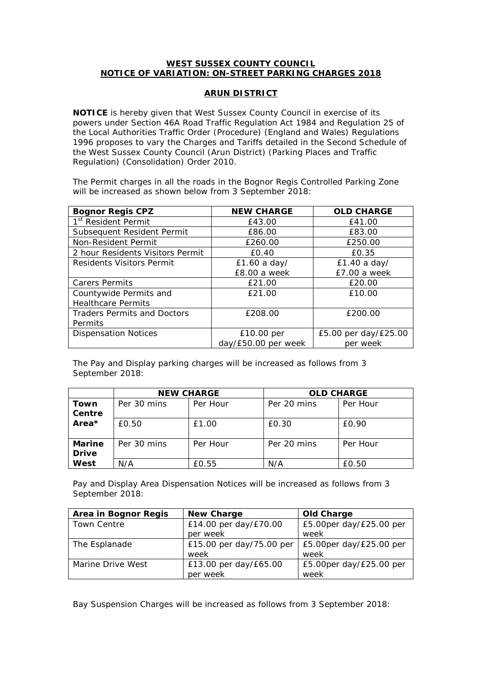## **WEST SUSSEX COUNTY COUNCIL NOTICE OF VARIATION: ON-STREET PARKING CHARGES 2018**

## **ARUN DISTRICT**

**NOTICE** is hereby given that West Sussex County Council in exercise of its powers under Section 46A Road Traffic Regulation Act 1984 and Regulation 25 of the Local Authorities Traffic Order (Procedure) (England and Wales) Regulations 1996 proposes to vary the Charges and Tariffs detailed in the Second Schedule of the West Sussex County Council (Arun District) (Parking Places and Traffic Regulation) (Consolidation) Order 2010.

The Permit charges in all the roads in the Bognor Regis Controlled Parking Zone will be increased as shown below from 3 September 2018:

| <b>Bognor Regis CPZ</b>            | <b>NEW CHARGE</b>   | <b>OLD CHARGE</b>    |
|------------------------------------|---------------------|----------------------|
| 1 <sup>st</sup> Resident Permit    | £43.00              | £41.00               |
| Subsequent Resident Permit         | £86.00              | £83.00               |
| Non-Resident Permit                | £260.00             | £250.00              |
| 2 hour Residents Visitors Permit   | £0.40               | £0.35                |
| Residents Visitors Permit          | £1.60 a day/        | £1.40 a day/         |
|                                    | £8.00 a week        | $E7.00a$ week        |
| <b>Carers Permits</b>              | £21.00              | £20.00               |
| Countywide Permits and             | £21.00              | £10.00               |
| <b>Healthcare Permits</b>          |                     |                      |
| <b>Traders Permits and Doctors</b> | £208.00             | £200.00              |
| Permits                            |                     |                      |
| <b>Dispensation Notices</b>        | £10.00 per          | £5.00 per day/£25.00 |
|                                    | day/£50.00 per week | per week             |

The Pay and Display parking charges will be increased as follows from 3 September 2018:

|               | <b>NEW CHARGE</b> |          | <b>OLD CHARGE</b> |          |
|---------------|-------------------|----------|-------------------|----------|
| Town          | Per 30 mins       | Per Hour | Per 20 mins       | Per Hour |
| Centre        |                   |          |                   |          |
| Area*         | £0.50             | £1.00    | £0.30             | £0.90    |
|               |                   |          |                   |          |
| <b>Marine</b> | Per 30 mins       | Per Hour | Per 20 mins       | Per Hour |
| <b>Drive</b>  |                   |          |                   |          |
| West          | N/A               | £0.55    | N/A               | £0.50    |

Pay and Display Area Dispensation Notices will be increased as follows from 3 September 2018:

| Area in Bognor Regis | <b>New Charge</b>        | <b>Old Charge</b>          |
|----------------------|--------------------------|----------------------------|
| <b>Town Centre</b>   | £14.00 per day/£70.00    | £5.00per day/£25.00 per    |
|                      | per week                 | week                       |
| The Esplanade        | £15.00 per day/75.00 per | $E5.00$ per day/£25.00 per |
|                      | week                     | week                       |
| Marine Drive West    | £13.00 per day/£65.00    | $£5.00$ per day/£25.00 per |
|                      | per week                 | week                       |

Bay Suspension Charges will be increased as follows from 3 September 2018: